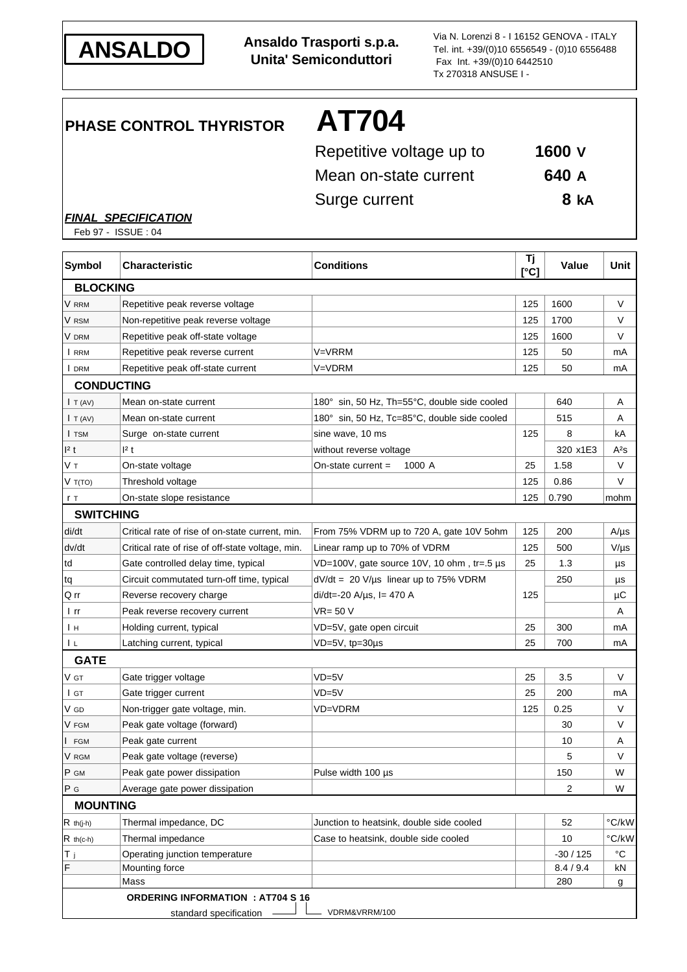

**ANSALDO Ansaldo Trasporti s.p.a. Unita' Semiconduttori**

Via N. Lorenzi 8 - I 16152 GENOVA - ITALY Tel. int. +39/(0)10 6556549 - (0)10 6556488 Fax Int. +39/(0)10 6442510 Tx 270318 ANSUSE I -

# **PHASE CONTROL THYRISTOR AT704**

Repetitive voltage up to **1600 V** Mean on-state current **640 A** Surge current **8 kA**

#### *FINAL SPECIFICATION*

Feb 97 - ISSUE : 04

| <b>Symbol</b>    | <b>Characteristic</b>                            | <b>Conditions</b>                            | Τj<br>$\Gamma$ <sup>c</sup> | Value     | Unit                      |
|------------------|--------------------------------------------------|----------------------------------------------|-----------------------------|-----------|---------------------------|
| <b>BLOCKING</b>  |                                                  |                                              |                             |           |                           |
| V RRM            | Repetitive peak reverse voltage                  |                                              | 125                         | 1600      | V                         |
| V rsm            | Non-repetitive peak reverse voltage              |                                              | 125                         | 1700      | V                         |
| V DRM            | Repetitive peak off-state voltage                |                                              | 125                         | 1600      | V                         |
| I RRM            | Repetitive peak reverse current                  | V=VRRM                                       | 125                         | 50        | mA                        |
| I DRM            | Repetitive peak off-state current                | V=VDRM                                       | 125                         | 50        | mA                        |
|                  | <b>CONDUCTING</b>                                |                                              |                             |           |                           |
| I T (AV)         | Mean on-state current                            | 180° sin, 50 Hz, Th=55°C, double side cooled |                             | 640       | Α                         |
| I T (AV)         | Mean on-state current                            | 180° sin, 50 Hz, Tc=85°C, double side cooled |                             | 515       | Α                         |
| I TSM            | Surge on-state current                           | sine wave, 10 ms                             | 125                         | 8         | kA                        |
| 12 t             | 1 <sup>2</sup> t                                 | without reverse voltage                      |                             | 320 x1E3  | A2s                       |
| Vт               | On-state voltage                                 | 1000 A<br>On-state current $=$               | 25                          | 1.58      | V                         |
| $V$ T(TO)        | Threshold voltage                                |                                              | 125                         | 0.86      | V                         |
| r T              | On-state slope resistance                        |                                              | 125                         | 0.790     | mohm                      |
| <b>SWITCHING</b> |                                                  |                                              |                             |           |                           |
| di/dt            | Critical rate of rise of on-state current, min.  | From 75% VDRM up to 720 A, gate 10V 5ohm     | 125                         | 200       | $A/\mu s$                 |
| dv/dt            | Critical rate of rise of off-state voltage, min. | Linear ramp up to 70% of VDRM                | 125                         | 500       | $V/\mu s$                 |
| td               | Gate controlled delay time, typical              | VD=100V, gate source 10V, 10 ohm, tr=.5 µs   | 25                          | 1.3       | μs                        |
| tq               | Circuit commutated turn-off time, typical        | $dV/dt = 20 V/\mu s$ linear up to 75% VDRM   |                             | 250       | μs                        |
| Q rr             | Reverse recovery charge                          | $di/dt = -20$ A/ $\mu$ s, l = 470 A          | 125                         |           | μC                        |
| l rr             | Peak reverse recovery current                    | VR= 50 V                                     |                             |           | Α                         |
| Ιн               | Holding current, typical                         | VD=5V, gate open circuit                     | 25                          | 300       | mA                        |
| L                | Latching current, typical                        | VD=5V, tp=30µs                               | 25                          | 700       | mA                        |
| <b>GATE</b>      |                                                  |                                              |                             |           |                           |
| V gt             | Gate trigger voltage                             | VD=5V                                        | 25                          | 3.5       | V                         |
| $I$ GT           | Gate trigger current                             | $VD = 5V$                                    | 25                          | 200       | mA                        |
| V GD             | Non-trigger gate voltage, min.                   | VD=VDRM                                      | 125                         | 0.25      | V                         |
| V FGM            | Peak gate voltage (forward)                      |                                              |                             | 30        | V                         |
| <b>FGM</b>       | Peak gate current                                |                                              |                             | 10        | Α                         |
| V RGM            | Peak gate voltage (reverse)                      |                                              |                             | 5         | V                         |
| P GM             | Peak gate power dissipation                      | Pulse width 100 µs                           |                             | 150       | W                         |
| P G              | Average gate power dissipation                   |                                              |                             | 2         | W                         |
| <b>MOUNTING</b>  |                                                  |                                              |                             |           |                           |
| $R$ th(j-h)      | Thermal impedance, DC                            | Junction to heatsink, double side cooled     |                             | 52        | $\mathrm{^{\circ} C}$ /kW |
| $R$ th(c-h)      | Thermal impedance                                | Case to heatsink, double side cooled         |                             | 10        | $\degree$ C/kW            |
| Тj               | Operating junction temperature                   |                                              |                             | $-30/125$ | $^{\circ}C$               |
| F                | Mounting force                                   |                                              |                             | 8.4 / 9.4 | kN                        |
|                  | Mass                                             |                                              |                             | 280       | g                         |
|                  | <b>ORDERING INFORMATION : AT704 S 16</b>         |                                              |                             |           |                           |
|                  | standard specification                           | VDRM&VRRM/100                                |                             |           |                           |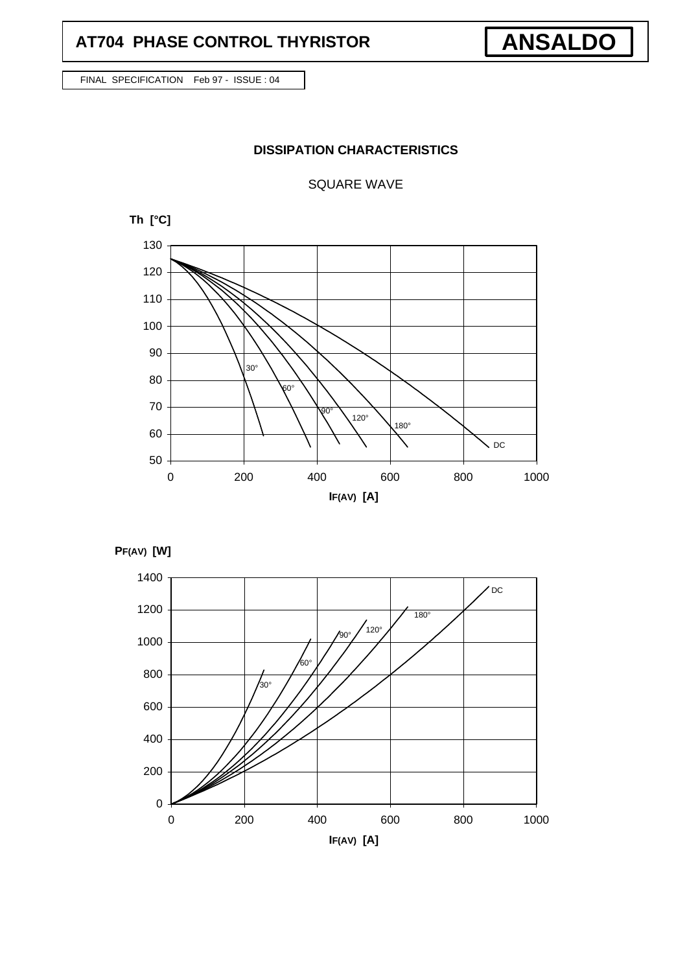## **AT704 PHASE CONTROL THYRISTOR**

FINAL SPECIFICATION Feb 97 - ISSUE : 04

### **DISSIPATION CHARACTERISTICS**

**ANSALDO**

SQUARE WAVE





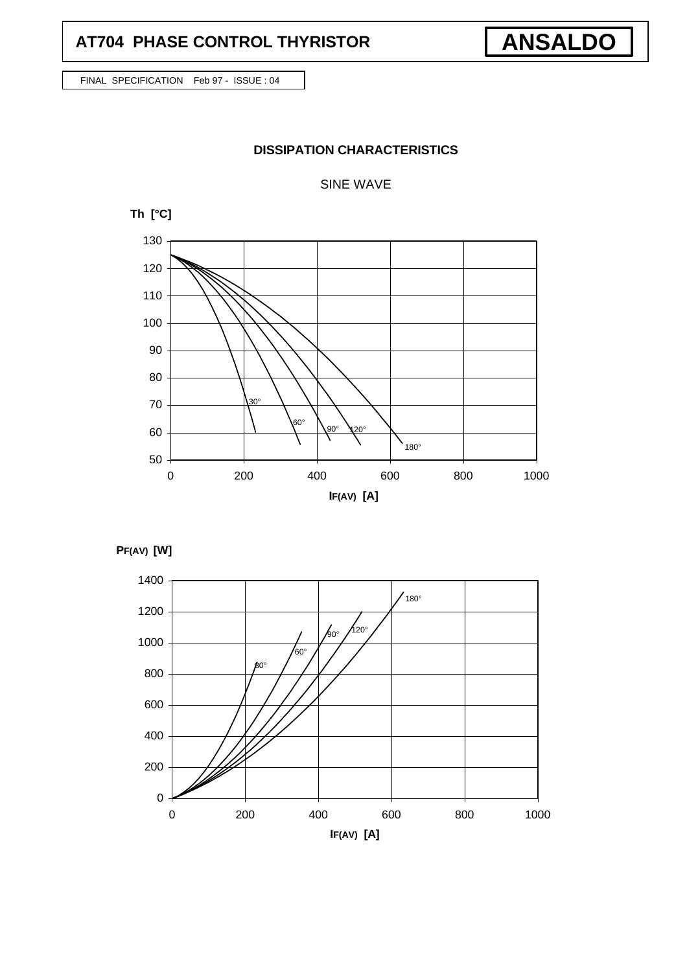## **AT704 PHASE CONTROL THYRISTOR**

FINAL SPECIFICATION Feb 97 - ISSUE : 04

### **DISSIPATION CHARACTERISTICS**

SINE WAVE







**ANSALDO**